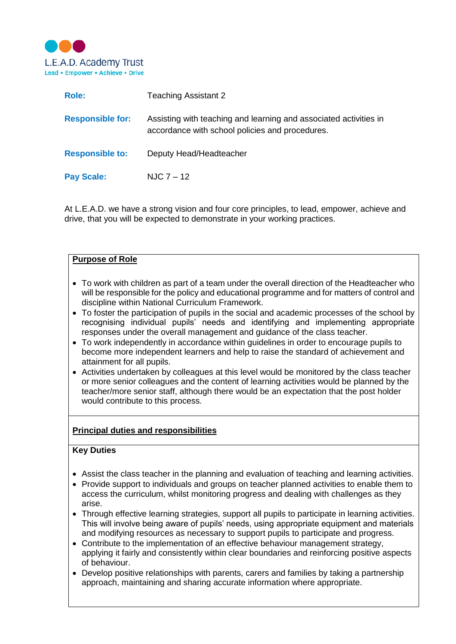

| Role:                   | <b>Teaching Assistant 2</b>                                                                                          |
|-------------------------|----------------------------------------------------------------------------------------------------------------------|
| <b>Responsible for:</b> | Assisting with teaching and learning and associated activities in<br>accordance with school policies and procedures. |
| <b>Responsible to:</b>  | Deputy Head/Headteacher                                                                                              |
| <b>Pay Scale:</b>       | NJC 7 – 12                                                                                                           |

At L.E.A.D. we have a strong vision and four core principles, to lead, empower, achieve and drive, that you will be expected to demonstrate in your working practices.

### **Purpose of Role**

- To work with children as part of a team under the overall direction of the Headteacher who will be responsible for the policy and educational programme and for matters of control and discipline within National Curriculum Framework.
- To foster the participation of pupils in the social and academic processes of the school by recognising individual pupils' needs and identifying and implementing appropriate responses under the overall management and guidance of the class teacher.
- To work independently in accordance within guidelines in order to encourage pupils to become more independent learners and help to raise the standard of achievement and attainment for all pupils.
- Activities undertaken by colleagues at this level would be monitored by the class teacher or more senior colleagues and the content of learning activities would be planned by the teacher/more senior staff, although there would be an expectation that the post holder would contribute to this process.

### **Principal duties and responsibilities**

#### **Key Duties**

- Assist the class teacher in the planning and evaluation of teaching and learning activities.
- Provide support to individuals and groups on teacher planned activities to enable them to access the curriculum, whilst monitoring progress and dealing with challenges as they arise.
- Through effective learning strategies, support all pupils to participate in learning activities. This will involve being aware of pupils' needs, using appropriate equipment and materials and modifying resources as necessary to support pupils to participate and progress.
- Contribute to the implementation of an effective behaviour management strategy, applying it fairly and consistently within clear boundaries and reinforcing positive aspects of behaviour.
- Develop positive relationships with parents, carers and families by taking a partnership approach, maintaining and sharing accurate information where appropriate.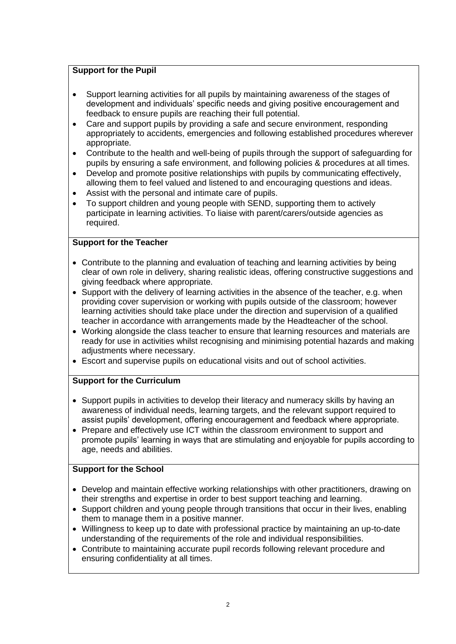## **Support for the Pupil**

- Support learning activities for all pupils by maintaining awareness of the stages of development and individuals' specific needs and giving positive encouragement and feedback to ensure pupils are reaching their full potential.
- Care and support pupils by providing a safe and secure environment, responding appropriately to accidents, emergencies and following established procedures wherever appropriate.
- Contribute to the health and well-being of pupils through the support of safeguarding for pupils by ensuring a safe environment, and following policies & procedures at all times.
- Develop and promote positive relationships with pupils by communicating effectively, allowing them to feel valued and listened to and encouraging questions and ideas.
- Assist with the personal and intimate care of pupils.
- To support children and young people with SEND, supporting them to actively participate in learning activities. To liaise with parent/carers/outside agencies as required.

### **Support for the Teacher**

- Contribute to the planning and evaluation of teaching and learning activities by being clear of own role in delivery, sharing realistic ideas, offering constructive suggestions and giving feedback where appropriate.
- $\bullet$  Support with the delivery of learning activities in the absence of the teacher, e.g. when providing cover supervision or working with pupils outside of the classroom; however learning activities should take place under the direction and supervision of a qualified teacher in accordance with arrangements made by the Headteacher of the school.
- Working alongside the class teacher to ensure that learning resources and materials are ready for use in activities whilst recognising and minimising potential hazards and making adiustments where necessary.
- Escort and supervise pupils on educational visits and out of school activities.

## **Support for the Curriculum**

- Support pupils in activities to develop their literacy and numeracy skills by having an awareness of individual needs, learning targets, and the relevant support required to assist pupils' development, offering encouragement and feedback where appropriate.
- Prepare and effectively use ICT within the classroom environment to support and promote pupils' learning in ways that are stimulating and enjoyable for pupils according to age, needs and abilities.

## **Support for the School**

- Develop and maintain effective working relationships with other practitioners, drawing on their strengths and expertise in order to best support teaching and learning.
- Support children and young people through transitions that occur in their lives, enabling them to manage them in a positive manner.
- Willingness to keep up to date with professional practice by maintaining an up-to-date understanding of the requirements of the role and individual responsibilities.
- Contribute to maintaining accurate pupil records following relevant procedure and ensuring confidentiality at all times.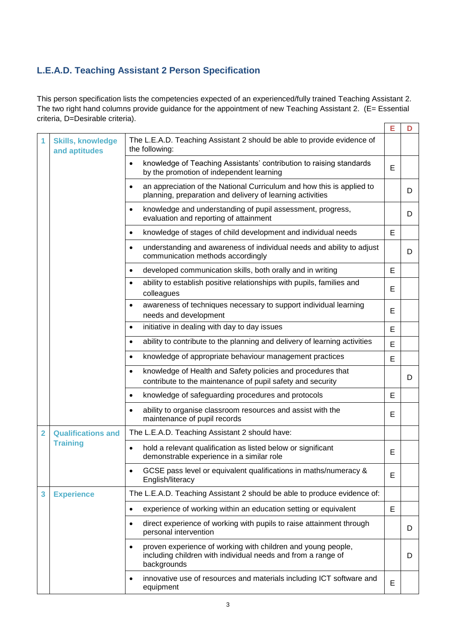# **L.E.A.D. Teaching Assistant 2 Person Specification**

This person specification lists the competencies expected of an experienced/fully trained Teaching Assistant 2. The two right hand columns provide guidance for the appointment of new Teaching Assistant 2. (E= Essential criteria, D=Desirable criteria). **E D**

|                |                                              |                                                                                                                                                 | c |   |
|----------------|----------------------------------------------|-------------------------------------------------------------------------------------------------------------------------------------------------|---|---|
| 1              | <b>Skills, knowledge</b><br>and aptitudes    | The L.E.A.D. Teaching Assistant 2 should be able to provide evidence of<br>the following:                                                       |   |   |
|                |                                              | knowledge of Teaching Assistants' contribution to raising standards<br>$\bullet$<br>by the promotion of independent learning                    | Е |   |
|                |                                              | an appreciation of the National Curriculum and how this is applied to<br>$\bullet$<br>planning, preparation and delivery of learning activities |   | D |
|                |                                              | knowledge and understanding of pupil assessment, progress,<br>$\bullet$<br>evaluation and reporting of attainment                               |   | D |
|                |                                              | knowledge of stages of child development and individual needs<br>$\bullet$                                                                      | Е |   |
|                |                                              | understanding and awareness of individual needs and ability to adjust<br>$\bullet$<br>communication methods accordingly                         |   | D |
|                |                                              | developed communication skills, both orally and in writing<br>$\bullet$                                                                         | Е |   |
|                |                                              | ability to establish positive relationships with pupils, families and<br>$\bullet$<br>colleagues                                                | E |   |
|                |                                              | awareness of techniques necessary to support individual learning<br>٠<br>needs and development                                                  | Е |   |
|                |                                              | initiative in dealing with day to day issues<br>$\bullet$                                                                                       | E |   |
|                |                                              | ability to contribute to the planning and delivery of learning activities<br>$\bullet$                                                          | E |   |
|                |                                              | knowledge of appropriate behaviour management practices<br>$\bullet$                                                                            | E |   |
|                |                                              | knowledge of Health and Safety policies and procedures that<br>$\bullet$<br>contribute to the maintenance of pupil safety and security          |   | D |
|                |                                              | knowledge of safeguarding procedures and protocols                                                                                              | Е |   |
|                |                                              | ability to organise classroom resources and assist with the<br>maintenance of pupil records                                                     | E |   |
| $\overline{2}$ | <b>Qualifications and</b><br><b>Training</b> | The L.E.A.D. Teaching Assistant 2 should have:                                                                                                  |   |   |
|                |                                              | hold a relevant qualification as listed below or significant<br>$\bullet$<br>demonstrable experience in a similar role                          | Е |   |
|                |                                              | GCSE pass level or equivalent qualifications in maths/numeracy &<br>English/literacy                                                            | Е |   |
| 3              | <b>Experience</b>                            | The L.E.A.D. Teaching Assistant 2 should be able to produce evidence of:                                                                        |   |   |
|                |                                              | experience of working within an education setting or equivalent<br>$\bullet$                                                                    | E |   |
|                |                                              | direct experience of working with pupils to raise attainment through<br>٠<br>personal intervention                                              |   | D |
|                |                                              | proven experience of working with children and young people,<br>including children with individual needs and from a range of<br>backgrounds     |   | D |
|                |                                              | innovative use of resources and materials including ICT software and<br>٠<br>equipment                                                          | E |   |